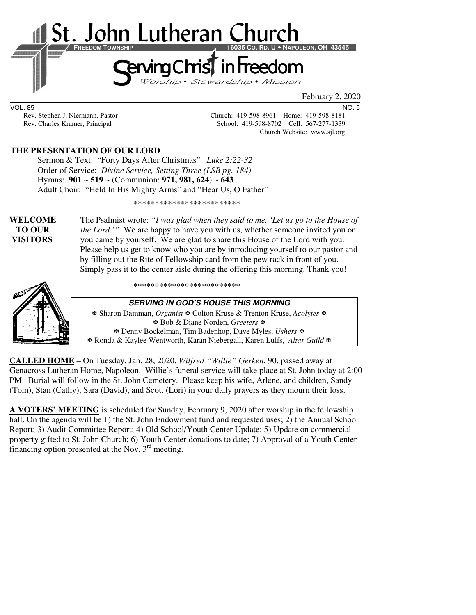

February 2, 2020

VOL. 85 NO. 5

Rev. Stephen J. Niermann, Pastor Church: 419-598-8961 Home: 419-598-8181<br>Rev. Charles Kramer, Principal School: 419-598-8702 Cell: 567-277-1339 School: 419-598-8702 Cell: 567-277-1339 Church Website: www.sjl.org

### **THE PRESENTATION OF OUR LORD**

 Sermon & Text: "Forty Days After Christmas" *Luke 2:22-32* Order of Service: *Divine Service, Setting Three (LSB pg. 184)* Hymns: **901 ~ 519 ~** (Communion: **971, 981, 624**) **~ 643**  Adult Choir: "Held In His Mighty Arms" and "Hear Us, O Father"

\*\*\*\*\*\*\*\*\*\*\*\*\*\*\*\*\*\*\*\*\*\*\*\*\*

**WELCOME** The Psalmist wrote: *"I was glad when they said to me, 'Let us go to the House of* **TO OUR** *the Lord.'"* We are happy to have you with us, whether someone invited you or **VISITORS**you came by yourself. We are glad to share this House of the Lord with you. Please help us get to know who you are by introducing yourself to our pastor and by filling out the Rite of Fellowship card from the pew rack in front of you. Simply pass it to the center aisle during the offering this morning. Thank you!



\*\*\*\*\*\*\*\*\*\*\*\*\*\*\*\*\*\*\*\*\*\*\*\*\*

#### **SERVING IN GOD'S HOUSE THIS MORNING**

 Sharon Damman, *Organist* Colton Kruse & Trenton Kruse, *Acolytes* Bob & Diane Norden, *Greeters* Denny Bockelman, Tim Badenhop, Dave Myles, *Ushers* Ronda & Kaylee Wentworth, Karan Niebergall, Karen Lulfs, *Altar Guild*

**CALLED HOME** – On Tuesday, Jan. 28, 2020, *Wilfred "Willie" Gerken*, 90, passed away at Genacross Lutheran Home, Napoleon. Willie's funeral service will take place at St. John today at 2:00 PM. Burial will follow in the St. John Cemetery. Please keep his wife, Arlene, and children, Sandy (Tom), Stan (Cathy), Sara (David), and Scott (Lori) in your daily prayers as they mourn their loss.

**A VOTERS' MEETING** is scheduled for Sunday, February 9, 2020 after worship in the fellowship hall. On the agenda will be 1) the St. John Endowment fund and requested uses; 2) the Annual School Report; 3) Audit Committee Report; 4) Old School/Youth Center Update; 5) Update on commercial property gifted to St. John Church; 6) Youth Center donations to date; 7) Approval of a Youth Center financing option presented at the Nov. 3rd meeting.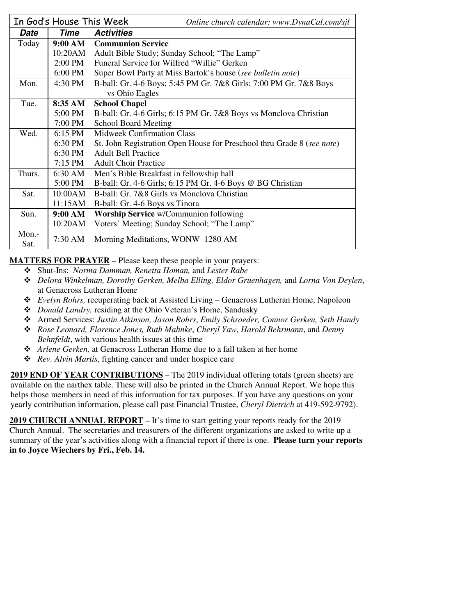|               | In God's House This Week | Online church calendar: www.DynaCal.com/sjl                            |  |  |  |
|---------------|--------------------------|------------------------------------------------------------------------|--|--|--|
| Date          | Time                     | <b>Activities</b>                                                      |  |  |  |
| Today         | 9:00 AM                  | <b>Communion Service</b>                                               |  |  |  |
|               | 10:20AM                  | Adult Bible Study; Sunday School; "The Lamp"                           |  |  |  |
|               | 2:00 PM                  | Funeral Service for Wilfred "Willie" Gerken                            |  |  |  |
|               | 6:00 PM                  | Super Bowl Party at Miss Bartok's house (see bulletin note)            |  |  |  |
| Mon.          | 4:30 PM                  | B-ball: Gr. 4-6 Boys; 5:45 PM Gr. 7&8 Girls; 7:00 PM Gr. 7&8 Boys      |  |  |  |
|               |                          | vs Ohio Eagles                                                         |  |  |  |
| Tue.          | 8:35 AM                  | <b>School Chapel</b>                                                   |  |  |  |
|               | 5:00 PM                  | B-ball: Gr. 4-6 Girls; 6:15 PM Gr. 7&8 Boys vs Monclova Christian      |  |  |  |
|               | 7:00 PM                  | <b>School Board Meeting</b>                                            |  |  |  |
| Wed.          | $6:15$ PM                | <b>Midweek Confirmation Class</b>                                      |  |  |  |
|               | 6:30 PM                  | St. John Registration Open House for Preschool thru Grade 8 (see note) |  |  |  |
|               | 6:30 PM                  | <b>Adult Bell Practice</b>                                             |  |  |  |
|               | $7:15$ PM                | <b>Adult Choir Practice</b>                                            |  |  |  |
| Thurs.        | 6:30 AM                  | Men's Bible Breakfast in fellowship hall                               |  |  |  |
|               | 5:00 PM                  | B-ball: Gr. 4-6 Girls; 6:15 PM Gr. 4-6 Boys @ BG Christian             |  |  |  |
| Sat.          | 10:00AM                  | B-ball: Gr. 7&8 Girls vs Monclova Christian                            |  |  |  |
|               | 11:15AM                  | B-ball: Gr. 4-6 Boys vs Tinora                                         |  |  |  |
| Sun.          | 9:00 AM                  | <b>Worship Service</b> w/Communion following                           |  |  |  |
|               | 10:20AM                  | Voters' Meeting; Sunday School; "The Lamp"                             |  |  |  |
| Mon.-<br>Sat. | 7:30 AM                  | Morning Meditations, WONW 1280 AM                                      |  |  |  |

**MATTERS FOR PRAYER** – Please keep these people in your prayers:

- Shut-Ins: *Norma Damman, Renetta Homan,* and *Lester Rabe*
- *Delora Winkelman, Dorothy Gerken, Melba Elling, Eldor Gruenhagen,* and *Lorna Von Deylen*, at Genacross Lutheran Home
- *Evelyn Rohrs,* recuperating back at Assisted Living Genacross Lutheran Home, Napoleon
- *Donald Landry,* residing at the Ohio Veteran's Home, Sandusky
- Armed Services: *Justin Atkinson, Jason Rohrs*, *Emily Schroeder, Connor Gerken, Seth Handy*
- *Rose Leonard, Florence Jones, Ruth Mahnke*, *Cheryl Yaw, Harold Behrmann*, and *Denny Behnfeldt*, with various health issues at this time
- *Arlene Gerken,* at Genacross Lutheran Home due to a fall taken at her home
- *Rev. Alvin Martis*, fighting cancer and under hospice care

**2019 END OF YEAR CONTRIBUTIONS** – The 2019 individual offering totals (green sheets) are available on the narthex table. These will also be printed in the Church Annual Report. We hope this helps those members in need of this information for tax purposes. If you have any questions on your yearly contribution information, please call past Financial Trustee, *Cheryl Dietrich* at 419-592-9792).

**2019 CHURCH ANNUAL REPORT** – It's time to start getting your reports ready for the 2019 Church Annual. The secretaries and treasurers of the different organizations are asked to write up a summary of the year's activities along with a financial report if there is one. **Please turn your reports in to Joyce Wiechers by Fri., Feb. 14.**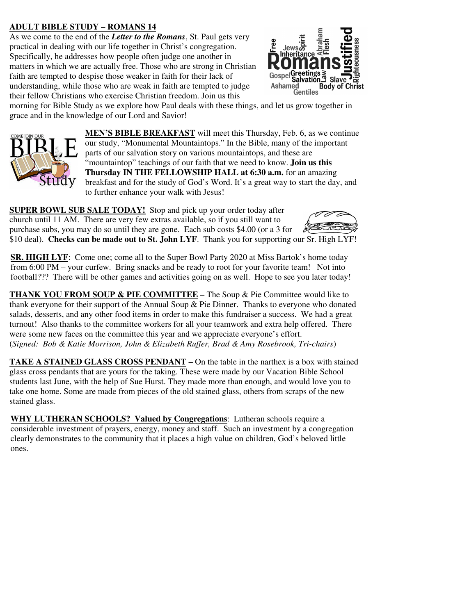# **ADULT BIBLE STUDY – ROMANS 14**

As we come to the end of the *Letter to the Romans*, St. Paul gets very practical in dealing with our life together in Christ's congregation. Specifically, he addresses how people often judge one another in matters in which we are actually free. Those who are strong in Christian faith are tempted to despise those weaker in faith for their lack of understanding, while those who are weak in faith are tempted to judge their fellow Christians who exercise Christian freedom. Join us this



morning for Bible Study as we explore how Paul deals with these things, and let us grow together in grace and in the knowledge of our Lord and Savior!



**MEN'S BIBLE BREAKFAST** will meet this Thursday, Feb. 6, as we continue our study, "Monumental Mountaintops." In the Bible, many of the important parts of our salvation story on various mountaintops, and these are "mountaintop" teachings of our faith that we need to know. **Join us this Thursday IN THE FELLOWSHIP HALL at 6:30 a.m.** for an amazing breakfast and for the study of God's Word. It's a great way to start the day, and to further enhance your walk with Jesus!

**SUPER BOWL SUB SALE TODAY!** Stop and pick up your order today after church until 11 AM. There are very few extras available, so if you still want to purchase subs, you may do so until they are gone. Each sub costs \$4.00 (or a 3 for \$10 deal). **Checks can be made out to St. John LYF**. Thank you for supporting our Sr. High LYF!

**SR. HIGH LYF**: Come one; come all to the Super Bowl Party 2020 at Miss Bartok's home today from 6:00 PM – your curfew. Bring snacks and be ready to root for your favorite team! Not into football??? There will be other games and activities going on as well. Hope to see you later today!

**THANK YOU FROM SOUP & PIE COMMITTEE** – The Soup & Pie Committee would like to thank everyone for their support of the Annual Soup  $\&$  Pie Dinner. Thanks to everyone who donated salads, desserts, and any other food items in order to make this fundraiser a success. We had a great turnout! Also thanks to the committee workers for all your teamwork and extra help offered. There were some new faces on the committee this year and we appreciate everyone's effort. (*Signed: Bob & Katie Morrison, John & Elizabeth Ruffer, Brad & Amy Rosebrook, Tri-chairs*)

**TAKE A STAINED GLASS CROSS PENDANT** – On the table in the narthex is a box with stained glass cross pendants that are yours for the taking. These were made by our Vacation Bible School students last June, with the help of Sue Hurst. They made more than enough, and would love you to take one home. Some are made from pieces of the old stained glass, others from scraps of the new stained glass.

**WHY LUTHERAN SCHOOLS? Valued by Congregations**: Lutheran schools require a considerable investment of prayers, energy, money and staff. Such an investment by a congregation clearly demonstrates to the community that it places a high value on children, God's beloved little ones.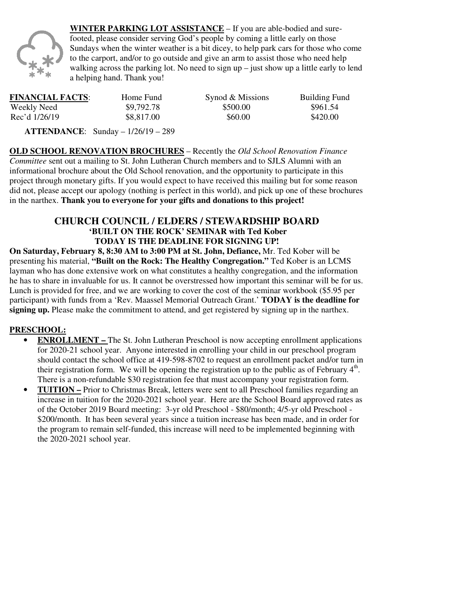

**WINTER PARKING LOT ASSISTANCE** – If you are able-bodied and surefooted, please consider serving God's people by coming a little early on those Sundays when the winter weather is a bit dicey, to help park cars for those who come to the carport, and/or to go outside and give an arm to assist those who need help walking across the parking lot. No need to sign  $up$  – just show up a little early to lend a helping hand. Thank you!

| <b>FINANCIAL FACTS:</b> | Home Fund  | Synod & Missions | Building Fund |
|-------------------------|------------|------------------|---------------|
| Weekly Need             | \$9,792.78 | \$500.00         | \$961.54      |
| Rec'd 1/26/19           | \$8,817.00 | \$60.00          | \$420.00      |

 **ATTENDANCE**: Sunday – 1/26/19 – 289

**OLD SCHOOL RENOVATION BROCHURES** – Recently the *Old School Renovation Finance Committee* sent out a mailing to St. John Lutheran Church members and to SJLS Alumni with an informational brochure about the Old School renovation, and the opportunity to participate in this project through monetary gifts. If you would expect to have received this mailing but for some reason did not, please accept our apology (nothing is perfect in this world), and pick up one of these brochures in the narthex. **Thank you to everyone for your gifts and donations to this project!** 

# **CHURCH COUNCIL / ELDERS / STEWARDSHIP BOARD 'BUILT ON THE ROCK' SEMINAR with Ted Kober TODAY IS THE DEADLINE FOR SIGNING UP!**

**On Saturday, February 8, 8:30 AM to 3:00 PM at St. John, Defiance,** Mr. Ted Kober will be presenting his material, **"Built on the Rock: The Healthy Congregation."** Ted Kober is an LCMS layman who has done extensive work on what constitutes a healthy congregation, and the information he has to share in invaluable for us. It cannot be overstressed how important this seminar will be for us. Lunch is provided for free, and we are working to cover the cost of the seminar workbook (\$5.95 per participant) with funds from a 'Rev. Maassel Memorial Outreach Grant.' **TODAY is the deadline for signing up.** Please make the commitment to attend, and get registered by signing up in the narthex.

### **PRESCHOOL:**

- **ENROLLMENT** The St. John Lutheran Preschool is now accepting enrollment applications for 2020-21 school year. Anyone interested in enrolling your child in our preschool program should contact the school office at 419-598-8702 to request an enrollment packet and/or turn in their registration form. We will be opening the registration up to the public as of February  $4<sup>th</sup>$ . There is a non-refundable \$30 registration fee that must accompany your registration form.
- **TUITION** Prior to Christmas Break, letters were sent to all Preschool families regarding an increase in tuition for the 2020-2021 school year. Here are the School Board approved rates as of the October 2019 Board meeting: 3-yr old Preschool - \$80/month; 4/5-yr old Preschool - \$200/month. It has been several years since a tuition increase has been made, and in order for the program to remain self-funded, this increase will need to be implemented beginning with the 2020-2021 school year.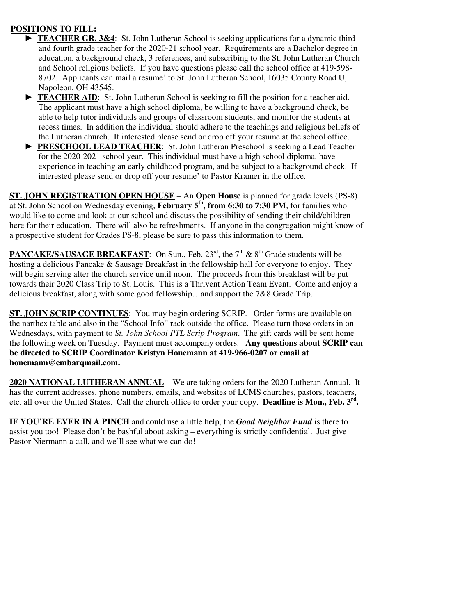## **POSITIONS TO FILL:**

- **TEACHER GR. 3&4**: St. John Lutheran School is seeking applications for a dynamic third and fourth grade teacher for the 2020-21 school year. Requirements are a Bachelor degree in education, a background check, 3 references, and subscribing to the St. John Lutheran Church and School religious beliefs. If you have questions please call the school office at 419-598- 8702. Applicants can mail a resume' to St. John Lutheran School, 16035 County Road U, Napoleon, OH 43545.
- **TEACHER AID:** St. John Lutheran School is seeking to fill the position for a teacher aid. The applicant must have a high school diploma, be willing to have a background check, be able to help tutor individuals and groups of classroom students, and monitor the students at recess times. In addition the individual should adhere to the teachings and religious beliefs of the Lutheran church. If interested please send or drop off your resume at the school office.
- ► **PRESCHOOL LEAD TEACHER**: St. John Lutheran Preschool is seeking a Lead Teacher for the 2020-2021 school year. This individual must have a high school diploma, have experience in teaching an early childhood program, and be subject to a background check. If interested please send or drop off your resume' to Pastor Kramer in the office.

**ST. JOHN REGISTRATION OPEN HOUSE** – An **Open House** is planned for grade levels (PS-8) at St. John School on Wednesday evening, **February 5th, from 6:30 to 7:30 PM**, for families who would like to come and look at our school and discuss the possibility of sending their child/children here for their education. There will also be refreshments. If anyone in the congregation might know of a prospective student for Grades PS-8, please be sure to pass this information to them.

**PANCAKE/SAUSAGE BREAKFAST:** On Sun., Feb.  $23<sup>rd</sup>$ , the  $7<sup>th</sup>$  &  $8<sup>th</sup>$  Grade students will be hosting a delicious Pancake & Sausage Breakfast in the fellowship hall for everyone to enjoy. They will begin serving after the church service until noon. The proceeds from this breakfast will be put towards their 2020 Class Trip to St. Louis. This is a Thrivent Action Team Event. Come and enjoy a delicious breakfast, along with some good fellowship…and support the 7&8 Grade Trip.

**ST. JOHN SCRIP CONTINUES**: You may begin ordering SCRIP. Order forms are available on the narthex table and also in the "School Info" rack outside the office. Please turn those orders in on Wednesdays, with payment to *St. John School PTL Scrip Program*. The gift cards will be sent home the following week on Tuesday. Payment must accompany orders. **Any questions about SCRIP can be directed to SCRIP Coordinator Kristyn Honemann at 419-966-0207 or email at honemann@embarqmail.com.** 

**2020 NATIONAL LUTHERAN ANNUAL** – We are taking orders for the 2020 Lutheran Annual. It has the current addresses, phone numbers, emails, and websites of LCMS churches, pastors, teachers, etc. all over the United States. Call the church office to order your copy. **Deadline is Mon., Feb. 3rd .**

**IF YOU'RE EVER IN A PINCH** and could use a little help, the *Good Neighbor Fund* is there to assist you too! Please don't be bashful about asking – everything is strictly confidential. Just give Pastor Niermann a call, and we'll see what we can do!